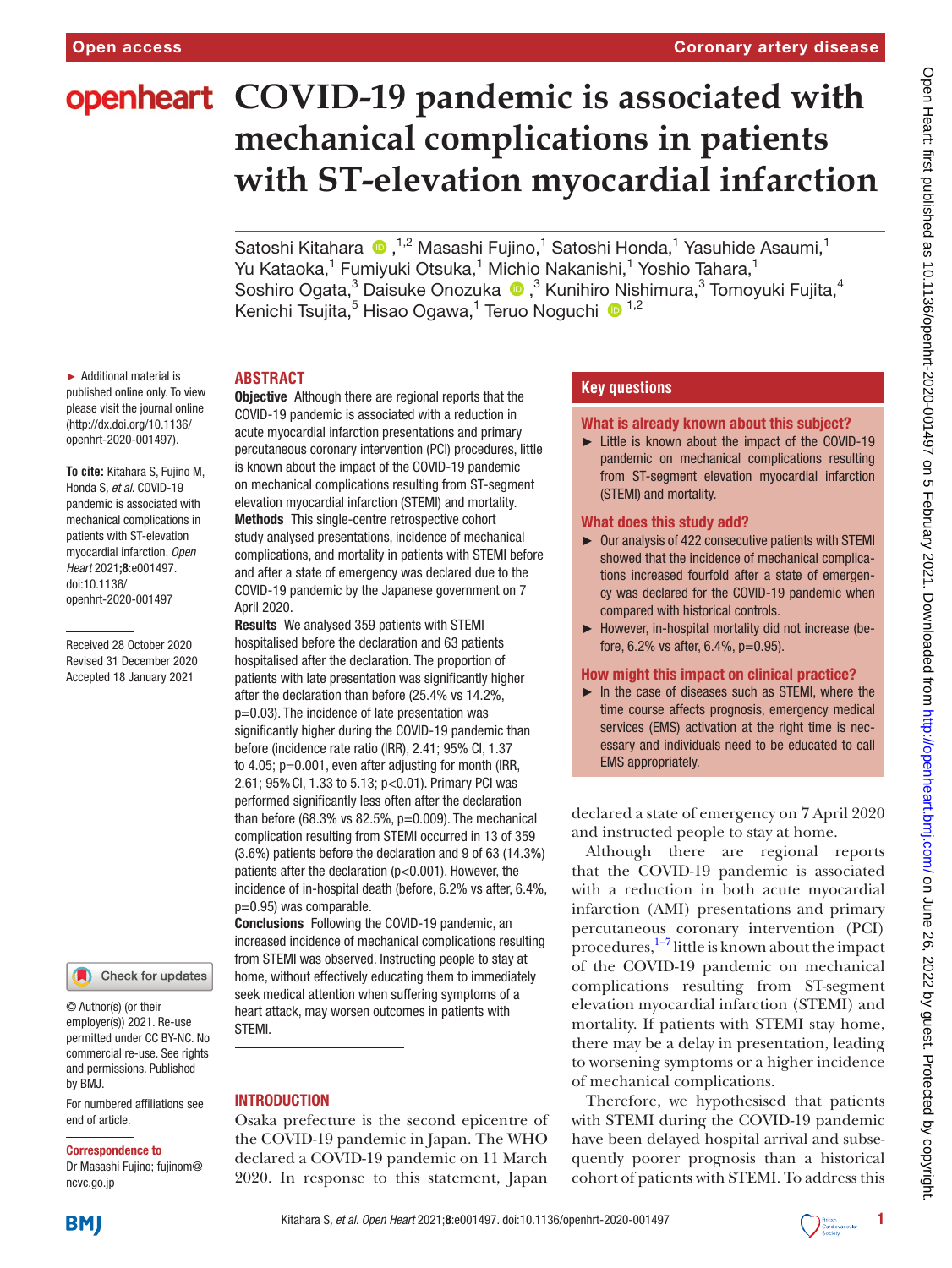# **openheart** COVID-19 pandemic is associated with **mechanical complications in patients with ST-elevation myocardial infarction**

Satoshi Kitahara <sup>n,2</sup> Masashi Fujino,<sup>1</sup> Satoshi Honda,<sup>1</sup> Yasuhide Asaumi,<sup>1</sup> Yu Kataoka,<sup>1</sup> Fumiyuki Otsuka,<sup>1</sup> Michio Nakanishi,<sup>1</sup> Yoshio Tahara,<sup>1</sup> SoshiroOgata,<sup>3</sup> Daisuke Onozuka (D, <sup>3</sup> Kunihiro Nishimura,<sup>3</sup> Tomoyuki Fujita,<sup>4</sup> Kenichi Tsujita,<sup>5</sup> Hisao Ogawa,<sup>1</sup> Teruo Noguchi <sup>1,2</sup>

# **ABSTRACT**

► Additional material is published online only. To view please visit the journal online (http://dx.doi.org/10.1136/ openhrt-2020-001497).

**To cite:** Kitahara S, Fujino M, Honda S*, et al*. COVID-19 pandemic is associated with mechanical complications in patients with ST-elevation myocardial infarction*. Open Heart* 2021;8:e001497. doi:10.1136/ openhrt-2020-001497

Received 28 October 2020 Revised 31 December 2020 Accepted 18 January 2021

Check for updates

© Author(s) (or their employer(s)) 2021. Re-use permitted under CC BY-NC. No commercial re-use. See rights and permissions. Published by BMJ.

For numbered affiliations see end of article.

#### Correspondence to

Dr Masashi Fujino; fujinom@ ncvc.go.jp

Objective Although there are regional reports that the COVID-19 pandemic is associated with a reduction in acute myocardial infarction presentations and primary percutaneous coronary intervention (PCI) procedures, little is known about the impact of the COVID-19 pandemic on mechanical complications resulting from ST-segment elevation myocardial infarction (STEMI) and mortality. Methods This single-centre retrospective cohort study analysed presentations, incidence of mechanical complications, and mortality in patients with STEMI before and after a state of emergency was declared due to the COVID-19 pandemic by the Japanese government on 7 April 2020.

Results We analysed 359 patients with STEMI hospitalised before the declaration and 63 patients hospitalised after the declaration. The proportion of patients with late presentation was significantly higher after the declaration than before (25.4% vs 14.2%, p=0.03). The incidence of late presentation was significantly higher during the COVID-19 pandemic than before (incidence rate ratio (IRR), 2.41; 95% CI, 1.37 to 4.05; p=0.001, even after adjusting for month (IRR, 2.61; 95%CI, 1.33 to 5.13; p<0.01). Primary PCI was performed significantly less often after the declaration than before (68.3% vs 82.5%,  $p=0.009$ ). The mechanical complication resulting from STEMI occurred in 13 of 359 (3.6%) patients before the declaration and 9 of 63 (14.3%) patients after the declaration (p<0.001). However, the incidence of in-hospital death (before, 6.2% vs after, 6.4%, p=0.95) was comparable.

Conclusions Following the COVID-19 pandemic, an increased incidence of mechanical complications resulting from STEMI was observed. Instructing people to stay at home, without effectively educating them to immediately seek medical attention when suffering symptoms of a heart attack, may worsen outcomes in patients with STEMI.

#### INTRODUCTION

Osaka prefecture is the second epicentre of the COVID-19 pandemic in Japan. The WHO declared a COVID-19 pandemic on 11 March 2020. In response to this statement, Japan

# **Key questions**

#### What is already known about this subject?

► Little is known about the impact of the COVID-19 pandemic on mechanical complications resulting from ST-segment elevation myocardial infarction (STEMI) and mortality.

#### What does this study add?

- ► Our analysis of 422 consecutive patients with STEMI showed that the incidence of mechanical complications increased fourfold after a state of emergency was declared for the COVID-19 pandemic when compared with historical controls.
- ► However, in-hospital mortality did not increase (before,  $6.2\%$  vs after,  $6.4\%$ ,  $p=0.95$ ).

# How might this impact on clinical practice?

► In the case of diseases such as STEMI, where the time course affects prognosis, emergency medical services (EMS) activation at the right time is necessary and individuals need to be educated to call EMS appropriately.

declared a state of emergency on 7 April 2020 and instructed people to stay at home.

Although there are regional reports that the COVID-19 pandemic is associated with a reduction in both acute myocardial infarction (AMI) presentations and primary percutaneous coronary intervention (PCI) procedures, $1-\frac{7}{7}$  little is known about the impact of the COVID-19 pandemic on mechanical complications resulting from ST-segment elevation myocardial infarction (STEMI) and mortality. If patients with STEMI stay home, there may be a delay in presentation, leading to worsening symptoms or a higher incidence of mechanical complications.

Therefore, we hypothesised that patients with STEMI during the COVID-19 pandemic have been delayed hospital arrival and subsequently poorer prognosis than a historical cohort of patients with STEMI. To address this

**BMJ** 

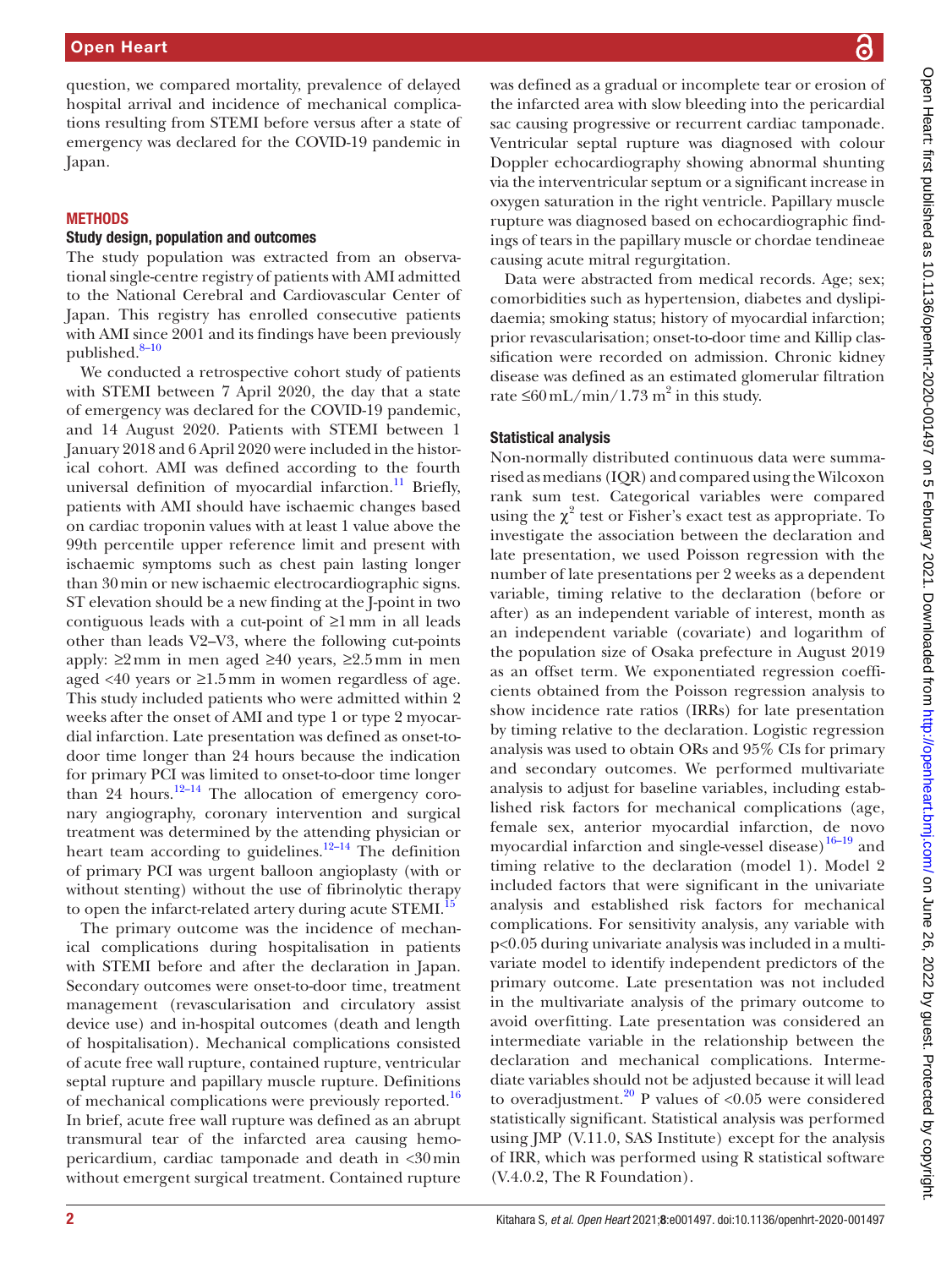question, we compared mortality, prevalence of delayed hospital arrival and incidence of mechanical complications resulting from STEMI before versus after a state of emergency was declared for the COVID-19 pandemic in Japan.

### **METHODS**

#### Study design, population and outcomes

The study population was extracted from an observational single-centre registry of patients with AMI admitted to the National Cerebral and Cardiovascular Center of Japan. This registry has enrolled consecutive patients with AMI since 2001 and its findings have been previously published. $8-10$ 

We conducted a retrospective cohort study of patients with STEMI between 7 April 2020, the day that a state of emergency was declared for the COVID-19 pandemic, and 14 August 2020. Patients with STEMI between 1 January 2018 and 6 April 2020 were included in the historical cohort. AMI was defined according to the fourth universal definition of myocardial infarction.<sup>11</sup> Briefly, patients with AMI should have ischaemic changes based on cardiac troponin values with at least 1 value above the 99th percentile upper reference limit and present with ischaemic symptoms such as chest pain lasting longer than 30min or new ischaemic electrocardiographic signs. ST elevation should be a new finding at the J-point in two contiguous leads with a cut-point of ≥1mm in all leads other than leads V2–V3, where the following cut-points apply: ≥2mm in men aged ≥40 years, ≥2.5mm in men aged <40 years or  $\geq 1.5$  mm in women regardless of age. This study included patients who were admitted within 2 weeks after the onset of AMI and type 1 or type 2 myocardial infarction. Late presentation was defined as onset-todoor time longer than 24 hours because the indication for primary PCI was limited to onset-to-door time longer than 24 hours.<sup>12–14</sup> The allocation of emergency coronary angiography, coronary intervention and surgical treatment was determined by the attending physician or heart team according to guidelines.<sup>[12–14](#page-5-3)</sup> The definition of primary PCI was urgent balloon angioplasty (with or without stenting) without the use of fibrinolytic therapy to open the infarct-related artery during acute STEMI.<sup>15</sup>

The primary outcome was the incidence of mechanical complications during hospitalisation in patients with STEMI before and after the declaration in Japan. Secondary outcomes were onset-to-door time, treatment management (revascularisation and circulatory assist device use) and in-hospital outcomes (death and length of hospitalisation). Mechanical complications consisted of acute free wall rupture, contained rupture, ventricular septal rupture and papillary muscle rupture. Definitions of mechanical complications were previously reported.<sup>16</sup> In brief, acute free wall rupture was defined as an abrupt transmural tear of the infarcted area causing hemopericardium, cardiac tamponade and death in <30min without emergent surgical treatment. Contained rupture

was defined as a gradual or incomplete tear or erosion of the infarcted area with slow bleeding into the pericardial sac causing progressive or recurrent cardiac tamponade. Ventricular septal rupture was diagnosed with colour Doppler echocardiography showing abnormal shunting via the interventricular septum or a significant increase in oxygen saturation in the right ventricle. Papillary muscle rupture was diagnosed based on echocardiographic findings of tears in the papillary muscle or chordae tendineae causing acute mitral regurgitation.

Data were abstracted from medical records. Age; sex; comorbidities such as hypertension, diabetes and dyslipidaemia; smoking status; history of myocardial infarction; prior revascularisation; onset-to-door time and Killip classification were recorded on admission. Chronic kidney disease was defined as an estimated glomerular filtration rate  $\leq 60 \text{ mL/min} / 1.73 \text{ m}^2$  in this study.

## Statistical analysis

Non-normally distributed continuous data were summarised as medians (IQR) and compared using the Wilcoxon rank sum test. Categorical variables were compared using the  $\chi^2$  test or Fisher's exact test as appropriate. To investigate the association between the declaration and late presentation, we used Poisson regression with the number of late presentations per 2 weeks as a dependent variable, timing relative to the declaration (before or after) as an independent variable of interest, month as an independent variable (covariate) and logarithm of the population size of Osaka prefecture in August 2019 as an offset term. We exponentiated regression coefficients obtained from the Poisson regression analysis to show incidence rate ratios (IRRs) for late presentation by timing relative to the declaration. Logistic regression analysis was used to obtain ORs and 95% CIs for primary and secondary outcomes. We performed multivariate analysis to adjust for baseline variables, including established risk factors for mechanical complications (age, female sex, anterior myocardial infarction, de novo myocardial infarction and single-vessel disease) $16-19$  and timing relative to the declaration (model 1). Model 2 included factors that were significant in the univariate analysis and established risk factors for mechanical complications. For sensitivity analysis, any variable with p<0.05 during univariate analysis was included in a multivariate model to identify independent predictors of the primary outcome. Late presentation was not included in the multivariate analysis of the primary outcome to avoid overfitting. Late presentation was considered an intermediate variable in the relationship between the declaration and mechanical complications. Intermediate variables should not be adjusted because it will lead to overadjustment.<sup>[20](#page-5-6)</sup> P values of <0.05 were considered statistically significant. Statistical analysis was performed using JMP (V.11.0, SAS Institute) except for the analysis of IRR, which was performed using R statistical software (V.4.0.2, The R Foundation).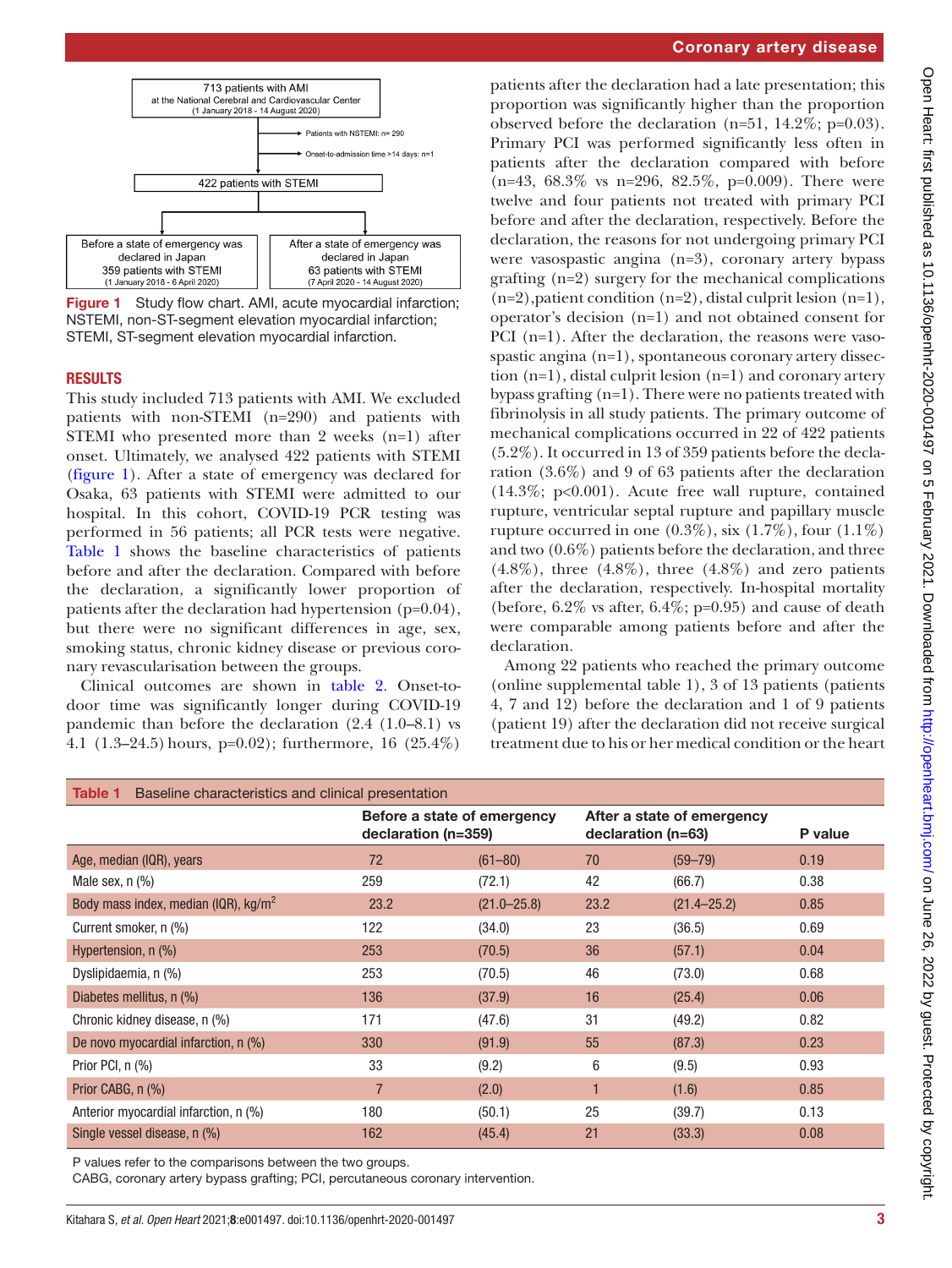

<span id="page-2-0"></span>Figure 1 Study flow chart. AMI, acute myocardial infarction; NSTEMI, non-ST-segment elevation myocardial infarction; STEMI, ST-segment elevation myocardial infarction.

#### RESULTS

This study included 713 patients with AMI. We excluded patients with non-STEMI (n=290) and patients with STEMI who presented more than 2 weeks (n=1) after onset. Ultimately, we analysed 422 patients with STEMI ([figure](#page-2-0) 1). After a state of emergency was declared for Osaka, 63 patients with STEMI were admitted to our hospital. In this cohort, COVID-19 PCR testing was performed in 56 patients; all PCR tests were negative. [Table](#page-2-1) 1 shows the baseline characteristics of patients before and after the declaration. Compared with before the declaration, a significantly lower proportion of patients after the declaration had hypertension (p=0.04), but there were no significant differences in age, sex, smoking status, chronic kidney disease or previous coronary revascularisation between the groups.

Clinical outcomes are shown in [table](#page-3-0) 2. Onset-todoor time was significantly longer during COVID-19 pandemic than before the declaration (2.4 (1.0–8.1) vs 4.1 (1.3–24.5)hours, p=0.02); furthermore, 16 (25.4%)

patients after the declaration had a late presentation; this proportion was significantly higher than the proportion observed before the declaration (n=51, 14.2%; p=0.03). Primary PCI was performed significantly less often in patients after the declaration compared with before (n=43, 68.3% vs n=296, 82.5%, p=0.009). There were twelve and four patients not treated with primary PCI before and after the declaration, respectively. Before the declaration, the reasons for not undergoing primary PCI were vasospastic angina (n=3), coronary artery bypass grafting (n=2) surgery for the mechanical complications  $(n=2)$ , patient condition  $(n=2)$ , distal culprit lesion  $(n=1)$ , operator's decision (n=1) and not obtained consent for PCI (n=1). After the declaration, the reasons were vasospastic angina (n=1), spontaneous coronary artery dissection (n=1), distal culprit lesion (n=1) and coronary artery bypass grafting (n=1). There were no patients treated with fibrinolysis in all study patients. The primary outcome of mechanical complications occurred in 22 of 422 patients (5.2%). It occurred in 13 of 359 patients before the declaration (3.6%) and 9 of 63 patients after the declaration (14.3%; p<0.001). Acute free wall rupture, contained rupture, ventricular septal rupture and papillary muscle rupture occurred in one  $(0.3\%)$ , six  $(1.7\%)$ , four  $(1.1\%)$ and two (0.6%) patients before the declaration, and three  $(4.8\%)$ , three  $(4.8\%)$ , three  $(4.8\%)$  and zero patients after the declaration, respectively. In-hospital mortality (before,  $6.2\%$  vs after,  $6.4\%$ ; p=0.95) and cause of death were comparable among patients before and after the declaration.

Among 22 patients who reached the primary outcome [\(online supplemental table 1](https://dx.doi.org/10.1136/openhrt-2020-001497)), 3 of 13 patients (patients 4, 7 and 12) before the declaration and 1 of 9 patients (patient 19) after the declaration did not receive surgical treatment due to his or her medical condition or the heart

<span id="page-2-1"></span>

| <b>Table 1</b><br>Baseline characteristics and clinical presentation |                                                    |                 |                                                  |                 |      |  |  |
|----------------------------------------------------------------------|----------------------------------------------------|-----------------|--------------------------------------------------|-----------------|------|--|--|
|                                                                      | Before a state of emergency<br>declaration (n=359) |                 | After a state of emergency<br>declaration (n=63) | P value         |      |  |  |
| Age, median (IQR), years                                             | 72                                                 | $(61 - 80)$     | 70                                               | $(59 - 79)$     | 0.19 |  |  |
| Male sex, $n$ $%$                                                    | 259                                                | (72.1)          | 42                                               | (66.7)          | 0.38 |  |  |
| Body mass index, median (IQR), kg/m <sup>2</sup>                     | 23.2                                               | $(21.0 - 25.8)$ | 23.2                                             | $(21.4 - 25.2)$ | 0.85 |  |  |
| Current smoker, n (%)                                                | 122                                                | (34.0)          | 23                                               | (36.5)          | 0.69 |  |  |
| Hypertension, n (%)                                                  | 253                                                | (70.5)          | 36                                               | (57.1)          | 0.04 |  |  |
| Dyslipidaemia, n (%)                                                 | 253                                                | (70.5)          | 46                                               | (73.0)          | 0.68 |  |  |
| Diabetes mellitus, n (%)                                             | 136                                                | (37.9)          | 16                                               | (25.4)          | 0.06 |  |  |
| Chronic kidney disease, n (%)                                        | 171                                                | (47.6)          | 31                                               | (49.2)          | 0.82 |  |  |
| De novo myocardial infarction, n (%)                                 | 330                                                | (91.9)          | 55                                               | (87.3)          | 0.23 |  |  |
| Prior PCI, n (%)                                                     | 33                                                 | (9.2)           | 6                                                | (9.5)           | 0.93 |  |  |
| Prior CABG, n (%)                                                    | $\overline{7}$                                     | (2.0)           |                                                  | (1.6)           | 0.85 |  |  |
| Anterior myocardial infarction, n (%)                                | 180                                                | (50.1)          | 25                                               | (39.7)          | 0.13 |  |  |
| Single vessel disease, n (%)                                         | 162                                                | (45.4)          | 21                                               | (33.3)          | 0.08 |  |  |

P values refer to the comparisons between the two groups.

CABG, coronary artery bypass grafting; PCI, percutaneous coronary intervention.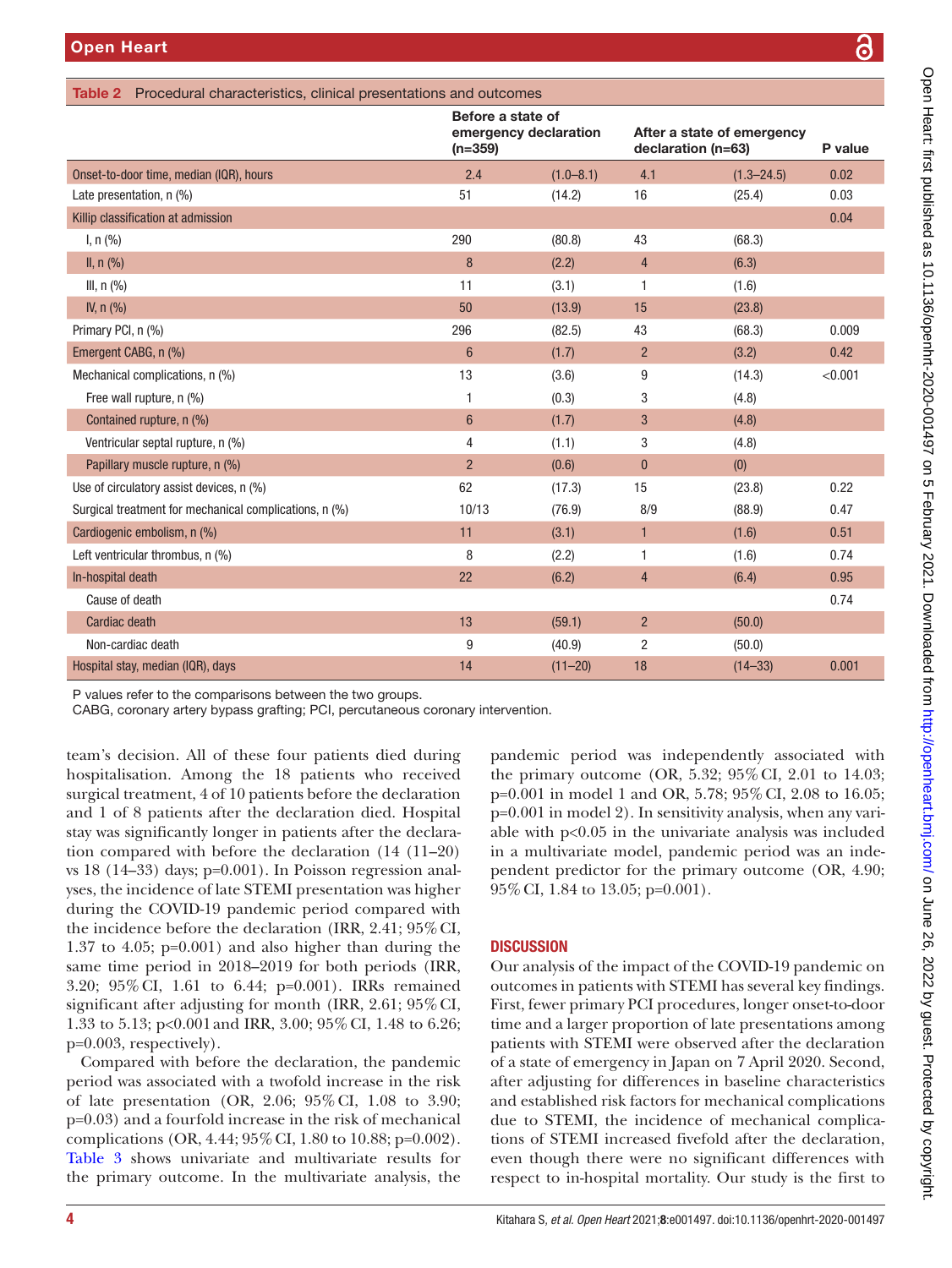|                           | Open Heart: first promoted as 10.1136/openhtr-2020-001497 on 5 February 2021. Downloaded to |
|---------------------------|---------------------------------------------------------------------------------------------|
|                           |                                                                                             |
|                           |                                                                                             |
|                           |                                                                                             |
|                           |                                                                                             |
|                           |                                                                                             |
|                           | <b>いいことりという。</b>                                                                            |
|                           |                                                                                             |
|                           |                                                                                             |
|                           |                                                                                             |
|                           |                                                                                             |
|                           |                                                                                             |
|                           |                                                                                             |
| h ;; ;; .i- d ,- ;;       |                                                                                             |
|                           |                                                                                             |
|                           |                                                                                             |
|                           |                                                                                             |
|                           |                                                                                             |
|                           |                                                                                             |
|                           |                                                                                             |
|                           |                                                                                             |
|                           |                                                                                             |
|                           |                                                                                             |
|                           |                                                                                             |
|                           |                                                                                             |
|                           |                                                                                             |
|                           |                                                                                             |
|                           |                                                                                             |
|                           |                                                                                             |
|                           |                                                                                             |
|                           |                                                                                             |
|                           |                                                                                             |
|                           | ./ on June 26, 2022 by guest. Pr.                                                           |
|                           | ֧֧֢֧֦֧֧֧֧֧֚֟֓֜֜֜֜֜֜֜֜֜֜֜֜֜֜֜<br>֧֪֧֧֛֧֧ׅ֧֚֚֚֚֚֚֚֚֚֚֚֚֚֚֚֚֚֝֩֩֩֓֓֜֜                          |
|                           |                                                                                             |
|                           |                                                                                             |
| n ,. r g n l, s s ı- ı, n |                                                                                             |
|                           |                                                                                             |
|                           |                                                                                             |
|                           |                                                                                             |
|                           |                                                                                             |
|                           |                                                                                             |

<span id="page-3-0"></span>

|                                                        | Before a state of<br>$(n=359)$ | emergency declaration |                | After a state of emergency<br>declaration (n=63) |         |
|--------------------------------------------------------|--------------------------------|-----------------------|----------------|--------------------------------------------------|---------|
| Onset-to-door time, median (IQR), hours                | 2.4                            | $(1.0 - 8.1)$         | 4.1            | $(1.3 - 24.5)$                                   | 0.02    |
| Late presentation, n (%)                               | 51                             | (14.2)                | 16             | (25.4)                                           | 0.03    |
| Killip classification at admission                     |                                |                       |                |                                                  | 0.04    |
| I, $n$ (%)                                             | 290                            | (80.8)                | 43             | (68.3)                                           |         |
| II, n (%)                                              | 8                              | (2.2)                 | $\overline{4}$ | (6.3)                                            |         |
| III, $n$ $(\%)$                                        | 11                             | (3.1)                 | $\mathbf{1}$   | (1.6)                                            |         |
| IV, $n$ (%)                                            | 50                             | (13.9)                | 15             | (23.8)                                           |         |
| Primary PCI, n (%)                                     | 296                            | (82.5)                | 43             | (68.3)                                           | 0.009   |
| Emergent CABG, n (%)                                   | $6\phantom{1}6$                | (1.7)                 | $\overline{2}$ | (3.2)                                            | 0.42    |
| Mechanical complications, n (%)                        | 13                             | (3.6)                 | 9              | (14.3)                                           | < 0.001 |
| Free wall rupture, n (%)                               | 1                              | (0.3)                 | 3              | (4.8)                                            |         |
| Contained rupture, n (%)                               | $6\phantom{1}$                 | (1.7)                 | 3              | (4.8)                                            |         |
| Ventricular septal rupture, n (%)                      | 4                              | (1.1)                 | 3              | (4.8)                                            |         |
| Papillary muscle rupture, n (%)                        | $\overline{2}$                 | (0.6)                 | $\mathbf{0}$   | (0)                                              |         |
| Use of circulatory assist devices, n (%)               | 62                             | (17.3)                | 15             | (23.8)                                           | 0.22    |
| Surgical treatment for mechanical complications, n (%) | 10/13                          | (76.9)                | 8/9            | (88.9)                                           | 0.47    |
| Cardiogenic embolism, n (%)                            | 11                             | (3.1)                 | $\mathbf{1}$   | (1.6)                                            | 0.51    |
| Left ventricular thrombus, n (%)                       | 8                              | (2.2)                 | 1              | (1.6)                                            | 0.74    |
| In-hospital death                                      | 22                             | (6.2)                 | $\overline{4}$ | (6.4)                                            | 0.95    |
| Cause of death                                         |                                |                       |                |                                                  | 0.74    |
| <b>Cardiac death</b>                                   | 13                             | (59.1)                | $\overline{2}$ | (50.0)                                           |         |
| Non-cardiac death                                      | 9                              | (40.9)                | $\overline{2}$ | (50.0)                                           |         |
| Hospital stay, median (IQR), days                      | 14                             | $(11 - 20)$           | 18             | $(14 - 33)$                                      | 0.001   |

CABG, coronary artery bypass grafting; PCI, percutaneous coronary intervention.

team's decision. All of these four patients died during hospitalisation. Among the 18 patients who received surgical treatment, 4 of 10 patients before the declaration and 1 of 8 patients after the declaration died. Hospital stay was significantly longer in patients after the declaration compared with before the declaration (14 (11–20) vs 18 (14–33) days; p=0.001). In Poisson regression analyses, the incidence of late STEMI presentation was higher during the COVID-19 pandemic period compared with the incidence before the declaration (IRR, 2.41; 95% CI, 1.37 to 4.05; p=0.001) and also higher than during the same time period in 2018–2019 for both periods (IRR, 3.20; 95%CI, 1.61 to 6.44; p=0.001). IRRs remained significant after adjusting for month (IRR, 2.61; 95% CI, 1.33 to 5.13; p<0.001and IRR, 3.00; 95%CI, 1.48 to 6.26; p=0.003, respectively).

Compared with before the declaration, the pandemic period was associated with a twofold increase in the risk of late presentation (OR, 2.06; 95%CI, 1.08 to 3.90; p=0.03) and a fourfold increase in the risk of mechanical complications (OR, 4.44; 95%CI, 1.80 to 10.88; p=0.002). [Table](#page-4-0) 3 shows univariate and multivariate results for the primary outcome. In the multivariate analysis, the

pandemic period was independently associated with the primary outcome (OR, 5.32;  $95\%$  CI, 2.01 to 14.03 p=0.001 in model 1 and OR, 5.78; 95%CI, 2.08 to 16.05; p=0.001 in model 2). In sensitivity analysis, when any variable with  $p<0.05$  in the univariate analysis was included in a multivariate model, pandemic period was an independent predictor for the primary outcome (OR, 4.90; 95%CI, 1.84 to 13.05; p=0.001).

## **DISCUSSION**

Our analysis of the impact of the COVID-19 pandemic on outcomes in patients with STEMI has several key findings. First, fewer primary PCI procedures, longer onset-to-doo time and a larger proportion of late presentations among patients with STEMI were observed after the declaration of a state of emergency in Japan on 7 April 2020. Second, after adjusting for differences in baseline characteristics and established risk factors for mechanical complications due to STEMI, the incidence of mechanical complications of STEMI increased fivefold after the declaration, even though there were no significant differences with respect to in-hospital mortality. Our study is the first to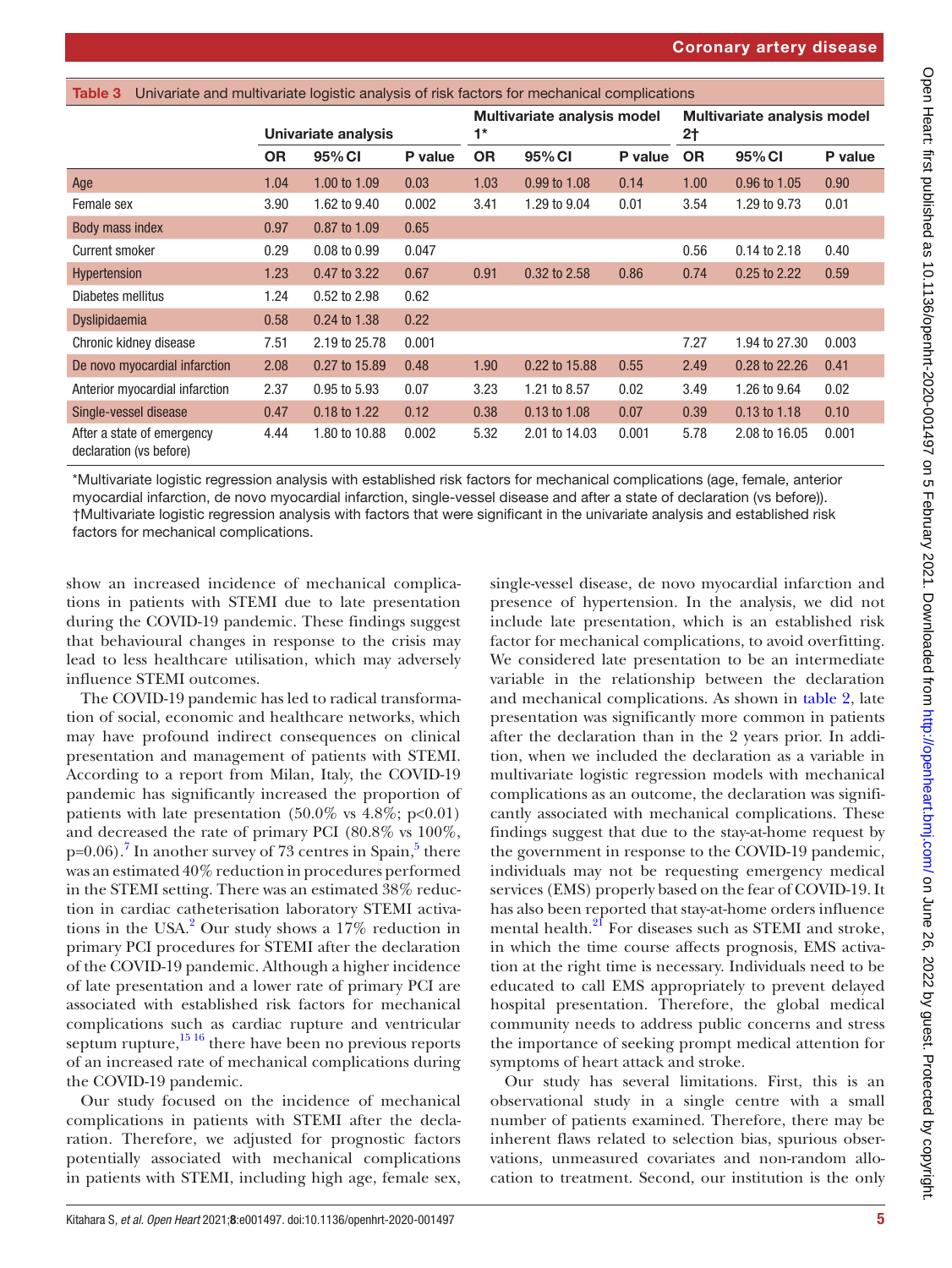<span id="page-4-0"></span>

| Univariate and multivariate logistic analysis of risk factors for mechanical complications<br>Table 3 |                     |                |                                      |           |                  |                                   |           |                  |         |
|-------------------------------------------------------------------------------------------------------|---------------------|----------------|--------------------------------------|-----------|------------------|-----------------------------------|-----------|------------------|---------|
|                                                                                                       | Univariate analysis |                | Multivariate analysis model<br>$1^*$ |           |                  | Multivariate analysis model<br>2† |           |                  |         |
|                                                                                                       | <b>OR</b>           | 95% CI         | P value                              | <b>OR</b> | 95% CI           | P value                           | <b>OR</b> | 95% CI           | P value |
| Age                                                                                                   | 1.04                | 1.00 to 1.09   | 0.03                                 | 1.03      | $0.99$ to $1.08$ | 0.14                              | 1.00      | 0.96 to 1.05     | 0.90    |
| Female sex                                                                                            | 3.90                | 1.62 to 9.40   | 0.002                                | 3.41      | 1.29 to 9.04     | 0.01                              | 3.54      | 1.29 to 9.73     | 0.01    |
| Body mass index                                                                                       | 0.97                | 0.87 to 1.09   | 0.65                                 |           |                  |                                   |           |                  |         |
| <b>Current smoker</b>                                                                                 | 0.29                | 0.08 to 0.99   | 0.047                                |           |                  |                                   | 0.56      | 0.14 to 2.18     | 0.40    |
| <b>Hypertension</b>                                                                                   | 1.23                | 0.47 to 3.22   | 0.67                                 | 0.91      | 0.32 to 2.58     | 0.86                              | 0.74      | $0.25$ to 2.22   | 0.59    |
| Diabetes mellitus                                                                                     | 1.24                | 0.52 to 2.98   | 0.62                                 |           |                  |                                   |           |                  |         |
| <b>Dyslipidaemia</b>                                                                                  | 0.58                | 0.24 to 1.38   | 0.22                                 |           |                  |                                   |           |                  |         |
| Chronic kidney disease                                                                                | 7.51                | 2.19 to 25.78  | 0.001                                |           |                  |                                   | 7.27      | 1.94 to 27.30    | 0.003   |
| De novo myocardial infarction                                                                         | 2.08                | 0.27 to 15.89  | 0.48                                 | 1.90      | 0.22 to 15.88    | 0.55                              | 2.49      | 0.28 to 22.26    | 0.41    |
| Anterior myocardial infarction                                                                        | 2.37                | $0.95$ to 5.93 | 0.07                                 | 3.23      | 1.21 to 8.57     | 0.02                              | 3.49      | 1.26 to 9.64     | 0.02    |
| Single-vessel disease                                                                                 | 0.47                | $0.18$ to 1.22 | 0.12                                 | 0.38      | 0.13 to 1.08     | 0.07                              | 0.39      | $0.13$ to $1.18$ | 0.10    |
| After a state of emergency<br>declaration (vs before)                                                 | 4.44                | 1.80 to 10.88  | 0.002                                | 5.32      | 2.01 to 14.03    | 0.001                             | 5.78      | 2.08 to 16.05    | 0.001   |

\*Multivariate logistic regression analysis with established risk factors for mechanical complications (age, female, anterior myocardial infarction, de novo myocardial infarction, single-vessel disease and after a state of declaration (vs before)). †Multivariate logistic regression analysis with factors that were significant in the univariate analysis and established risk factors for mechanical complications.

show an increased incidence of mechanical complications in patients with STEMI due to late presentation during the COVID-19 pandemic. These findings suggest that behavioural changes in response to the crisis may lead to less healthcare utilisation, which may adversely influence STEMI outcomes.

The COVID-19 pandemic has led to radical transformation of social, economic and healthcare networks, which may have profound indirect consequences on clinical presentation and management of patients with STEMI. According to a report from Milan, Italy, the COVID-19 pandemic has significantly increased the proportion of patients with late presentation  $(50.0\% \text{ vs } 4.8\%; \text{ p}<0.01)$ and decreased the rate of primary PCI (80.8% vs 100%,  $p=0.06$ ).<sup>[7](#page-5-7)</sup> In another survey of 73 centres in Spain, $\frac{5}{7}$  there was an estimated 40% reduction in procedures performed in the STEMI setting. There was an estimated 38% reduction in cardiac catheterisation laboratory STEMI activations in the USA. $^{2}$  $^{2}$  $^{2}$  Our study shows a 17% reduction in primary PCI procedures for STEMI after the declaration of the COVID-19 pandemic. Although a higher incidence of late presentation and a lower rate of primary PCI are associated with established risk factors for mechanical complications such as cardiac rupture and ventricular septum rupture, $1516$  there have been no previous reports of an increased rate of mechanical complications during the COVID-19 pandemic.

Our study focused on the incidence of mechanical complications in patients with STEMI after the declaration. Therefore, we adjusted for prognostic factors potentially associated with mechanical complications in patients with STEMI, including high age, female sex,

single-vessel disease, de novo myocardial infarction and presence of hypertension. In the analysis, we did not include late presentation, which is an established risk factor for mechanical complications, to avoid overfitting. We considered late presentation to be an intermediate variable in the relationship between the declaration and mechanical complications. As shown in [table](#page-3-0) 2, late presentation was significantly more common in patients after the declaration than in the 2 years prior. In addition, when we included the declaration as a variable in multivariate logistic regression models with mechanical complications as an outcome, the declaration was significantly associated with mechanical complications. These findings suggest that due to the stay-at-home request by the government in response to the COVID-19 pandemic, individuals may not be requesting emergency medical services (EMS) properly based on the fear of COVID-19. It has also been reported that stay-at-home orders influence mental health.<sup>21</sup> For diseases such as STEMI and stroke, in which the time course affects prognosis, EMS activation at the right time is necessary. Individuals need to be educated to call EMS appropriately to prevent delayed hospital presentation. Therefore, the global medical community needs to address public concerns and stress the importance of seeking prompt medical attention for symptoms of heart attack and stroke.

Our study has several limitations. First, this is an observational study in a single centre with a small number of patients examined. Therefore, there may be inherent flaws related to selection bias, spurious observations, unmeasured covariates and non-random allocation to treatment. Second, our institution is the only